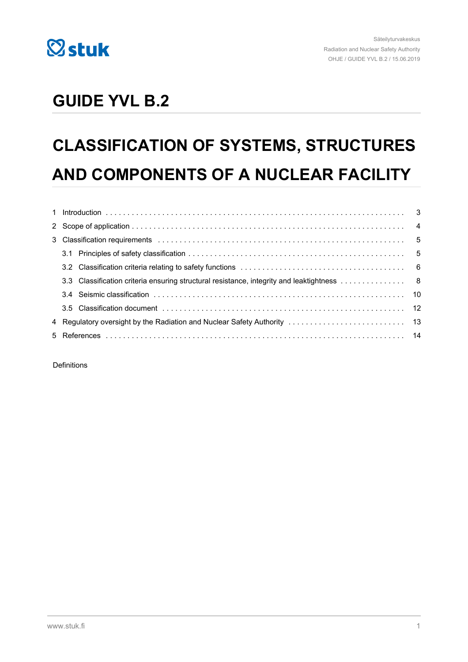

## **GUIDE YVL B.2**

# **CLASSIFICATION OF SYSTEMS, STRUCTURES AND COMPONENTS OF A NUCLEAR FACILITY**

Definitions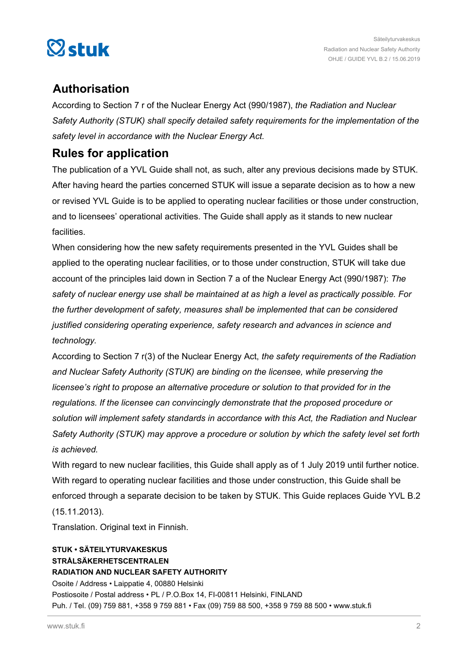

## **Authorisation**

According to Section 7 r of the Nuclear Energy Act (990/1987), *the Radiation and Nuclear Safety Authority (STUK) shall specify detailed safety requirements for the implementation of the safety level in accordance with the Nuclear Energy Act.*

## **Rules for application**

The publication of a YVL Guide shall not, as such, alter any previous decisions made by STUK. After having heard the parties concerned STUK will issue a separate decision as to how a new or revised YVL Guide is to be applied to operating nuclear facilities or those under construction, and to licensees' operational activities. The Guide shall apply as it stands to new nuclear facilities.

When considering how the new safety requirements presented in the YVL Guides shall be applied to the operating nuclear facilities, or to those under construction, STUK will take due account of the principles laid down in Section 7 a of the Nuclear Energy Act (990/1987): *The safety of nuclear energy use shall be maintained at as high a level as practically possible. For the further development of safety, measures shall be implemented that can be considered justified considering operating experience, safety research and advances in science and technology.*

According to Section 7 r(3) of the Nuclear Energy Act, *the safety requirements of the Radiation and Nuclear Safety Authority (STUK) are binding on the licensee, while preserving the licensee's right to propose an alternative procedure or solution to that provided for in the regulations. If the licensee can convincingly demonstrate that the proposed procedure or solution will implement safety standards in accordance with this Act, the Radiation and Nuclear Safety Authority (STUK) may approve a procedure or solution by which the safety level set forth is achieved.*

With regard to new nuclear facilities, this Guide shall apply as of 1 July 2019 until further notice. With regard to operating nuclear facilities and those under construction, this Guide shall be enforced through a separate decision to be taken by STUK. This Guide replaces Guide YVL B.2 (15.11.2013).

Translation. Original text in Finnish.

### **STUK • SÄTEILYTURVAKESKUS STRÅLSÄKERHETSCENTRALEN RADIATION AND NUCLEAR SAFETY AUTHORITY** Osoite / Address • Laippatie 4, 00880 Helsinki Postiosoite / Postal address • PL / P.O.Box 14, FI-00811 Helsinki, FINLAND Puh. / Tel. (09) 759 881, +358 9 759 881 • Fax (09) 759 88 500, +358 9 759 88 500 • www.stuk.fi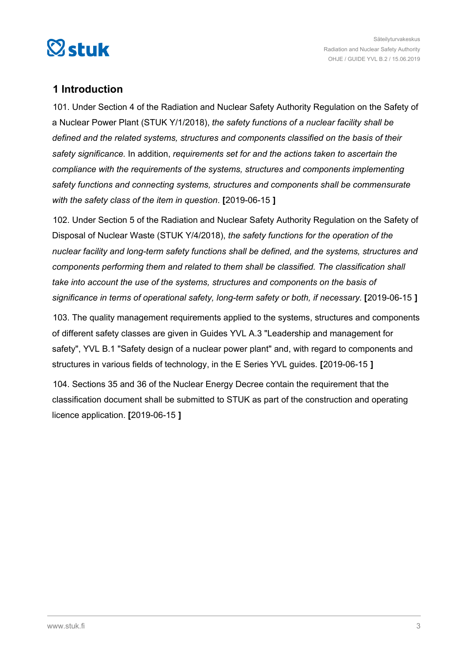<span id="page-2-0"></span>

## **1 Introduction**

101. Under Section 4 of the Radiation and Nuclear Safety Authority Regulation on the Safety of a Nuclear Power Plant (STUK Y/1/2018), *the safety functions of a nuclear facility shall be defined and the related systems, structures and components classified on the basis of their safety significance*. In addition, *requirements set for and the actions taken to ascertain the compliance with the requirements of the systems, structures and components implementing safety functions and connecting systems, structures and components shall be commensurate with the safety class of the item in question*. **[**2019-06-15 **]**

102. Under Section 5 of the Radiation and Nuclear Safety Authority Regulation on the Safety of Disposal of Nuclear Waste (STUK Y/4/2018), *the safety functions for the operation of the nuclear facility and long-term safety functions shall be defined, and the systems, structures and components performing them and related to them shall be classified. The classification shall take into account the use of the systems, structures and components on the basis of significance in terms of operational safety, long-term safety or both, if necessary.* **[**2019-06-15 **]**

103. The quality management requirements applied to the systems, structures and components of different safety classes are given in Guides YVL A.3 "Leadership and management for safety", YVL B.1 "Safety design of a nuclear power plant" and, with regard to components and structures in various fields of technology, in the E Series YVL guides. **[**2019-06-15 **]**

104. Sections 35 and 36 of the Nuclear Energy Decree contain the requirement that the classification document shall be submitted to STUK as part of the construction and operating licence application. **[**2019-06-15 **]**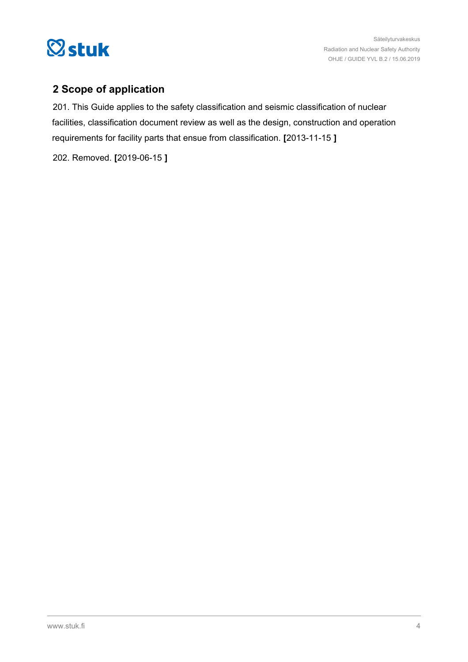<span id="page-3-0"></span>

## **2 Scope of application**

201. This Guide applies to the safety classification and seismic classification of nuclear facilities, classification document review as well as the design, construction and operation requirements for facility parts that ensue from classification. **[**2013-11-15 **]**

202. Removed. **[**2019-06-15 **]**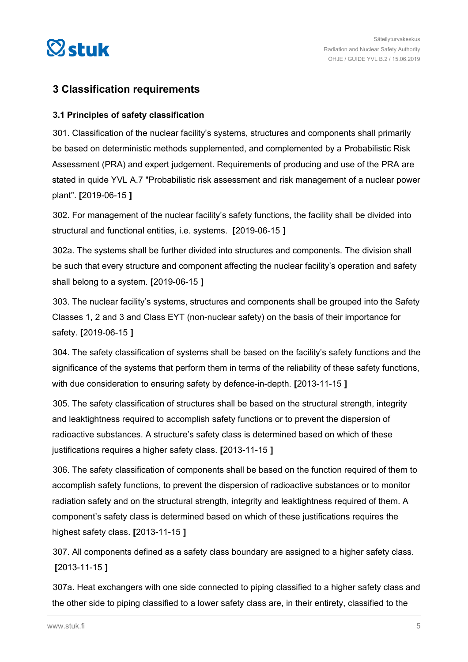<span id="page-4-0"></span>

### **3 Classification requirements**

### **3.1 Principles of safety classification**

301. Classification of the nuclear facility's systems, structures and components shall primarily be based on deterministic methods supplemented, and complemented by a Probabilistic Risk Assessment (PRA) and expert judgement. Requirements of producing and use of the PRA are stated in quide YVL A.7 "Probabilistic risk assessment and risk management of a nuclear power plant". **[**2019-06-15 **]**

302. For management of the nuclear facility's safety functions, the facility shall be divided into structural and functional entities, i.e. systems. **[**2019-06-15 **]**

302a. The systems shall be further divided into structures and components. The division shall be such that every structure and component affecting the nuclear facility's operation and safety shall belong to a system. **[**2019-06-15 **]**

303. The nuclear facility's systems, structures and components shall be grouped into the Safety Classes 1, 2 and 3 and Class EYT (non-nuclear safety) on the basis of their importance for safety. **[**2019-06-15 **]**

304. The safety classification of systems shall be based on the facility's safety functions and the significance of the systems that perform them in terms of the reliability of these safety functions, with due consideration to ensuring safety by defence-in-depth. **[**2013-11-15 **]**

305. The safety classification of structures shall be based on the structural strength, integrity and leaktightness required to accomplish safety functions or to prevent the dispersion of radioactive substances. A structure's safety class is determined based on which of these justifications requires a higher safety class. **[**2013-11-15 **]**

306. The safety classification of components shall be based on the function required of them to accomplish safety functions, to prevent the dispersion of radioactive substances or to monitor radiation safety and on the structural strength, integrity and leaktightness required of them. A component's safety class is determined based on which of these justifications requires the highest safety class. **[**2013-11-15 **]**

307. All components defined as a safety class boundary are assigned to a higher safety class. **[**2013-11-15 **]**

307a. Heat exchangers with one side connected to piping classified to a higher safety class and the other side to piping classified to a lower safety class are, in their entirety, classified to the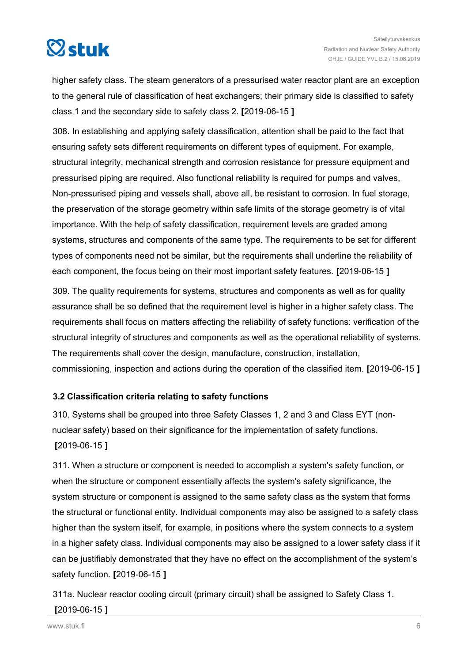<span id="page-5-0"></span>

higher safety class. The steam generators of a pressurised water reactor plant are an exception to the general rule of classification of heat exchangers; their primary side is classified to safety class 1 and the secondary side to safety class 2. **[**2019-06-15 **]**

308. In establishing and applying safety classification, attention shall be paid to the fact that ensuring safety sets different requirements on different types of equipment. For example, structural integrity, mechanical strength and corrosion resistance for pressure equipment and pressurised piping are required. Also functional reliability is required for pumps and valves, Non-pressurised piping and vessels shall, above all, be resistant to corrosion. In fuel storage, the preservation of the storage geometry within safe limits of the storage geometry is of vital importance. With the help of safety classification, requirement levels are graded among systems, structures and components of the same type. The requirements to be set for different types of components need not be similar, but the requirements shall underline the reliability of each component, the focus being on their most important safety features. **[**2019-06-15 **]**

309. The quality requirements for systems, structures and components as well as for quality assurance shall be so defined that the requirement level is higher in a higher safety class. The requirements shall focus on matters affecting the reliability of safety functions: verification of the structural integrity of structures and components as well as the operational reliability of systems. The requirements shall cover the design, manufacture, construction, installation, commissioning, inspection and actions during the operation of the classified item. **[**2019-06-15 **]**

### **3.2 Classification criteria relating to safety functions**

310. Systems shall be grouped into three Safety Classes 1, 2 and 3 and Class EYT (nonnuclear safety) based on their significance for the implementation of safety functions. **[**2019-06-15 **]**

311. When a structure or component is needed to accomplish a system's safety function, or when the structure or component essentially affects the system's safety significance, the system structure or component is assigned to the same safety class as the system that forms the structural or functional entity. Individual components may also be assigned to a safety class higher than the system itself, for example, in positions where the system connects to a system in a higher safety class. Individual components may also be assigned to a lower safety class if it can be justifiably demonstrated that they have no effect on the accomplishment of the system's safety function. **[**2019-06-15 **]**

311a. Nuclear reactor cooling circuit (primary circuit) shall be assigned to Safety Class 1.

### **[**2019-06-15 **]**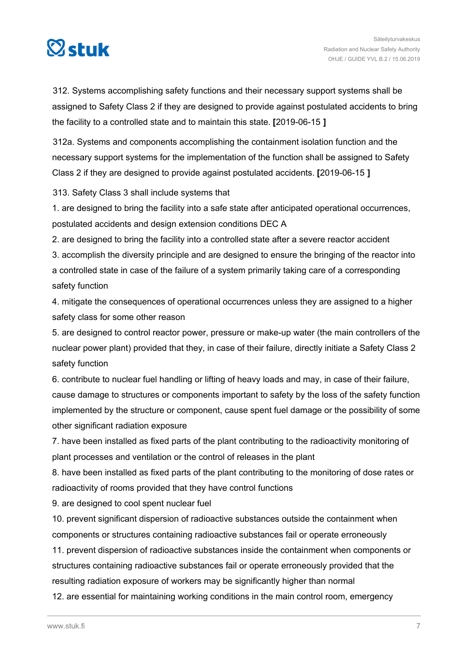

312. Systems accomplishing safety functions and their necessary support systems shall be assigned to Safety Class 2 if they are designed to provide against postulated accidents to bring the facility to a controlled state and to maintain this state. **[**2019-06-15 **]**

312a. Systems and components accomplishing the containment isolation function and the necessary support systems for the implementation of the function shall be assigned to Safety Class 2 if they are designed to provide against postulated accidents. **[**2019-06-15 **]**

313. Safety Class 3 shall include systems that

1. are designed to bring the facility into a safe state after anticipated operational occurrences, postulated accidents and design extension conditions DEC A

2. are designed to bring the facility into a controlled state after a severe reactor accident

3. accomplish the diversity principle and are designed to ensure the bringing of the reactor into a controlled state in case of the failure of a system primarily taking care of a corresponding safety function

4. mitigate the consequences of operational occurrences unless they are assigned to a higher safety class for some other reason

5. are designed to control reactor power, pressure or make-up water (the main controllers of the nuclear power plant) provided that they, in case of their failure, directly initiate a Safety Class 2 safety function

6. contribute to nuclear fuel handling or lifting of heavy loads and may, in case of their failure, cause damage to structures or components important to safety by the loss of the safety function implemented by the structure or component, cause spent fuel damage or the possibility of some other significant radiation exposure

7. have been installed as fixed parts of the plant contributing to the radioactivity monitoring of plant processes and ventilation or the control of releases in the plant

8. have been installed as fixed parts of the plant contributing to the monitoring of dose rates or radioactivity of rooms provided that they have control functions

9. are designed to cool spent nuclear fuel

10. prevent significant dispersion of radioactive substances outside the containment when components or structures containing radioactive substances fail or operate erroneously

11. prevent dispersion of radioactive substances inside the containment when components or structures containing radioactive substances fail or operate erroneously provided that the resulting radiation exposure of workers may be significantly higher than normal

12. are essential for maintaining working conditions in the main control room, emergency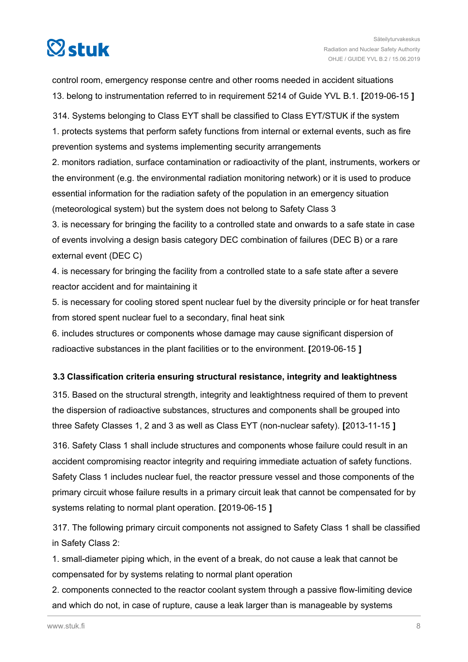<span id="page-7-0"></span>

control room, emergency response centre and other rooms needed in accident situations 13. belong to instrumentation referred to in requirement 5214 of Guide YVL B.1. **[**2019-06-15 **]**

314. Systems belonging to Class EYT shall be classified to Class EYT/STUK if the system 1. protects systems that perform safety functions from internal or external events, such as fire prevention systems and systems implementing security arrangements

2. monitors radiation, surface contamination or radioactivity of the plant, instruments, workers or the environment (e.g. the environmental radiation monitoring network) or it is used to produce essential information for the radiation safety of the population in an emergency situation (meteorological system) but the system does not belong to Safety Class 3

3. is necessary for bringing the facility to a controlled state and onwards to a safe state in case of events involving a design basis category DEC combination of failures (DEC B) or a rare external event (DEC C)

4. is necessary for bringing the facility from a controlled state to a safe state after a severe reactor accident and for maintaining it

5. is necessary for cooling stored spent nuclear fuel by the diversity principle or for heat transfer from stored spent nuclear fuel to a secondary, final heat sink

6. includes structures or components whose damage may cause significant dispersion of radioactive substances in the plant facilities or to the environment. **[**2019-06-15 **]**

### **3.3 Classification criteria ensuring structural resistance, integrity and leaktightness**

315. Based on the structural strength, integrity and leaktightness required of them to prevent the dispersion of radioactive substances, structures and components shall be grouped into three Safety Classes 1, 2 and 3 as well as Class EYT (non-nuclear safety). **[**2013-11-15 **]**

316. Safety Class 1 shall include structures and components whose failure could result in an accident compromising reactor integrity and requiring immediate actuation of safety functions. Safety Class 1 includes nuclear fuel, the reactor pressure vessel and those components of the primary circuit whose failure results in a primary circuit leak that cannot be compensated for by systems relating to normal plant operation. **[**2019-06-15 **]**

317. The following primary circuit components not assigned to Safety Class 1 shall be classified in Safety Class 2:

1. small-diameter piping which, in the event of a break, do not cause a leak that cannot be compensated for by systems relating to normal plant operation

2. components connected to the reactor coolant system through a passive flow-limiting device and which do not, in case of rupture, cause a leak larger than is manageable by systems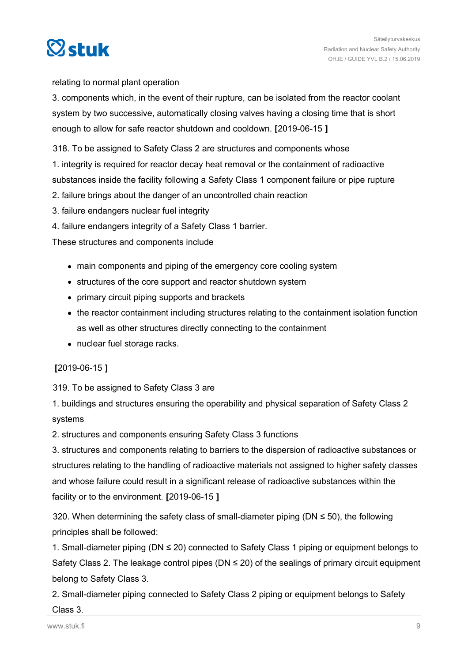

relating to normal plant operation

3. components which, in the event of their rupture, can be isolated from the reactor coolant system by two successive, automatically closing valves having a closing time that is short enough to allow for safe reactor shutdown and cooldown. **[**2019-06-15 **]**

318. To be assigned to Safety Class 2 are structures and components whose

1. integrity is required for reactor decay heat removal or the containment of radioactive

substances inside the facility following a Safety Class 1 component failure or pipe rupture

- 2. failure brings about the danger of an uncontrolled chain reaction
- 3. failure endangers nuclear fuel integrity
- 4. failure endangers integrity of a Safety Class 1 barrier.

These structures and components include

- main components and piping of the emergency core cooling system
- structures of the core support and reactor shutdown system
- primary circuit piping supports and brackets
- the reactor containment including structures relating to the containment isolation function as well as other structures directly connecting to the containment
- nuclear fuel storage racks.

### **[**2019-06-15 **]**

319. To be assigned to Safety Class 3 are

1. buildings and structures ensuring the operability and physical separation of Safety Class 2 systems

2. structures and components ensuring Safety Class 3 functions

3. structures and components relating to barriers to the dispersion of radioactive substances or structures relating to the handling of radioactive materials not assigned to higher safety classes and whose failure could result in a significant release of radioactive substances within the facility or to the environment. **[**2019-06-15 **]**

320. When determining the safety class of small-diameter piping ( $DN \le 50$ ), the following principles shall be followed:

1. Small-diameter piping (DN ≤ 20) connected to Safety Class 1 piping or equipment belongs to Safety Class 2. The leakage control pipes ( $DN \leq 20$ ) of the sealings of primary circuit equipment belong to Safety Class 3.

2. Small-diameter piping connected to Safety Class 2 piping or equipment belongs to Safety

### Class 3.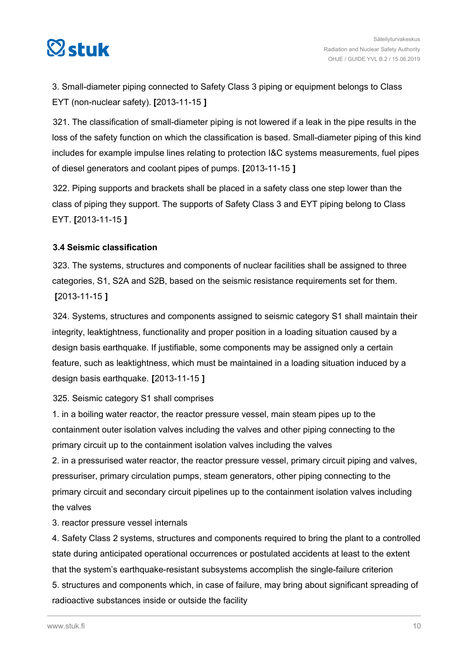<span id="page-9-0"></span>

3. Small-diameter piping connected to Safety Class 3 piping or equipment belongs to Class EYT (non-nuclear safety). **[**2013-11-15 **]**

321. The classification of small-diameter piping is not lowered if a leak in the pipe results in the loss of the safety function on which the classification is based. Small-diameter piping of this kind includes for example impulse lines relating to protection I&C systems measurements, fuel pipes of diesel generators and coolant pipes of pumps. **[**2013-11-15 **]**

322. Piping supports and brackets shall be placed in a safety class one step lower than the class of piping they support. The supports of Safety Class 3 and EYT piping belong to Class EYT. **[**2013-11-15 **]**

### **3.4 Seismic classification**

323. The systems, structures and components of nuclear facilities shall be assigned to three categories, S1, S2A and S2B, based on the seismic resistance requirements set for them. **[**2013-11-15 **]**

324. Systems, structures and components assigned to seismic category S1 shall maintain their integrity, leaktightness, functionality and proper position in a loading situation caused by a design basis earthquake. If justifiable, some components may be assigned only a certain feature, such as leaktightness, which must be maintained in a loading situation induced by a design basis earthquake. **[**2013-11-15 **]**

### 325. Seismic category S1 shall comprises

1. in a boiling water reactor, the reactor pressure vessel, main steam pipes up to the containment outer isolation valves including the valves and other piping connecting to the primary circuit up to the containment isolation valves including the valves

2. in a pressurised water reactor, the reactor pressure vessel, primary circuit piping and valves, pressuriser, primary circulation pumps, steam generators, other piping connecting to the primary circuit and secondary circuit pipelines up to the containment isolation valves including the valves

3. reactor pressure vessel internals

4. Safety Class 2 systems, structures and components required to bring the plant to a controlled state during anticipated operational occurrences or postulated accidents at least to the extent that the system's earthquake-resistant subsystems accomplish the single-failure criterion 5. structures and components which, in case of failure, may bring about significant spreading of radioactive substances inside or outside the facility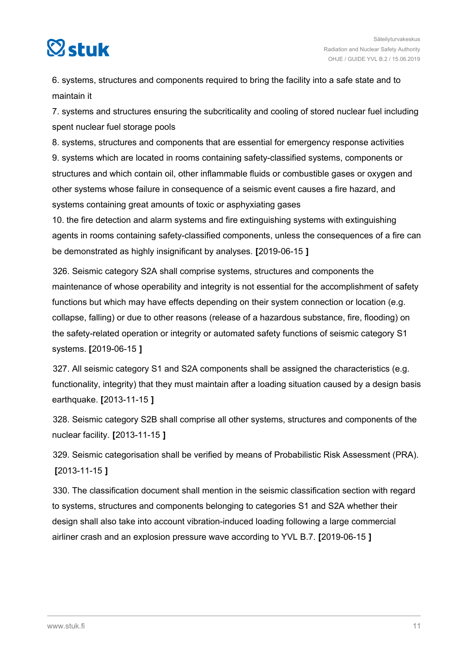

6. systems, structures and components required to bring the facility into a safe state and to maintain it

7. systems and structures ensuring the subcriticality and cooling of stored nuclear fuel including spent nuclear fuel storage pools

8. systems, structures and components that are essential for emergency response activities 9. systems which are located in rooms containing safety-classified systems, components or structures and which contain oil, other inflammable fluids or combustible gases or oxygen and other systems whose failure in consequence of a seismic event causes a fire hazard, and systems containing great amounts of toxic or asphyxiating gases

10. the fire detection and alarm systems and fire extinguishing systems with extinguishing agents in rooms containing safety-classified components, unless the consequences of a fire can be demonstrated as highly insignificant by analyses. **[**2019-06-15 **]**

326. Seismic category S2A shall comprise systems, structures and components the maintenance of whose operability and integrity is not essential for the accomplishment of safety functions but which may have effects depending on their system connection or location (e.g. collapse, falling) or due to other reasons (release of a hazardous substance, fire, flooding) on the safety-related operation or integrity or automated safety functions of seismic category S1 systems. **[**2019-06-15 **]**

327. All seismic category S1 and S2A components shall be assigned the characteristics (e.g. functionality, integrity) that they must maintain after a loading situation caused by a design basis earthquake. **[**2013-11-15 **]**

328. Seismic category S2B shall comprise all other systems, structures and components of the nuclear facility. **[**2013-11-15 **]**

329. Seismic categorisation shall be verified by means of Probabilistic Risk Assessment (PRA). **[**2013-11-15 **]**

330. The classification document shall mention in the seismic classification section with regard to systems, structures and components belonging to categories S1 and S2A whether their design shall also take into account vibration-induced loading following a large commercial airliner crash and an explosion pressure wave according to YVL B.7. **[**2019-06-15 **]**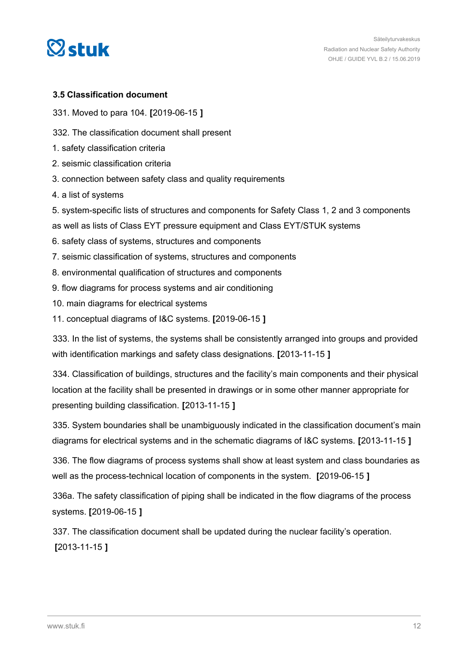

<span id="page-11-0"></span>

### **3.5 Classification document**

331. Moved to para 104. **[**2019-06-15 **]**

332. The classification document shall present

- 1. safety classification criteria
- 2. seismic classification criteria
- 3. connection between safety class and quality requirements
- 4. a list of systems

5. system-specific lists of structures and components for Safety Class 1, 2 and 3 components

as well as lists of Class EYT pressure equipment and Class EYT/STUK systems

- 6. safety class of systems, structures and components
- 7. seismic classification of systems, structures and components
- 8. environmental qualification of structures and components
- 9. flow diagrams for process systems and air conditioning
- 10. main diagrams for electrical systems
- 11. conceptual diagrams of I&C systems. **[**2019-06-15 **]**

333. In the list of systems, the systems shall be consistently arranged into groups and provided with identification markings and safety class designations. **[**2013-11-15 **]**

334. Classification of buildings, structures and the facility's main components and their physical location at the facility shall be presented in drawings or in some other manner appropriate for presenting building classification. **[**2013-11-15 **]**

335. System boundaries shall be unambiguously indicated in the classification document's main diagrams for electrical systems and in the schematic diagrams of I&C systems. **[**2013-11-15 **]**

336. The flow diagrams of process systems shall show at least system and class boundaries as well as the process-technical location of components in the system. **[**2019-06-15 **]**

336a. The safety classification of piping shall be indicated in the flow diagrams of the process systems. **[**2019-06-15 **]**

337. The classification document shall be updated during the nuclear facility's operation. **[**2013-11-15 **]**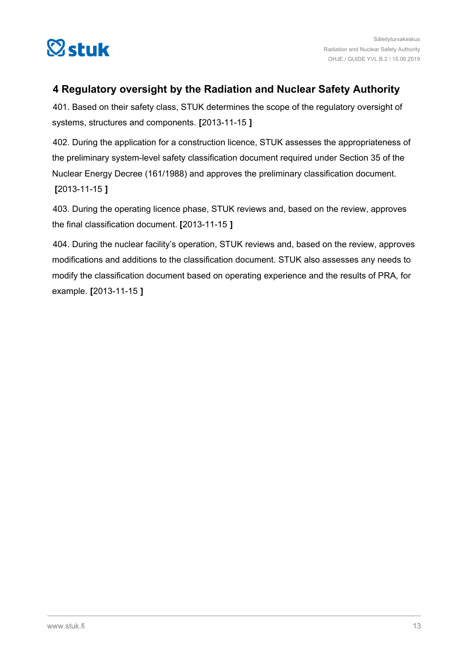<span id="page-12-0"></span>

## **4 Regulatory oversight by the Radiation and Nuclear Safety Authority**

401. Based on their safety class, STUK determines the scope of the regulatory oversight of systems, structures and components. **[**2013-11-15 **]**

402. During the application for a construction licence, STUK assesses the appropriateness of the preliminary system-level safety classification document required under Section 35 of the Nuclear Energy Decree (161/1988) and approves the preliminary classification document. **[**2013-11-15 **]**

403. During the operating licence phase, STUK reviews and, based on the review, approves the final classification document. **[**2013-11-15 **]**

404. During the nuclear facility's operation, STUK reviews and, based on the review, approves modifications and additions to the classification document. STUK also assesses any needs to modify the classification document based on operating experience and the results of PRA, for example. **[**2013-11-15 **]**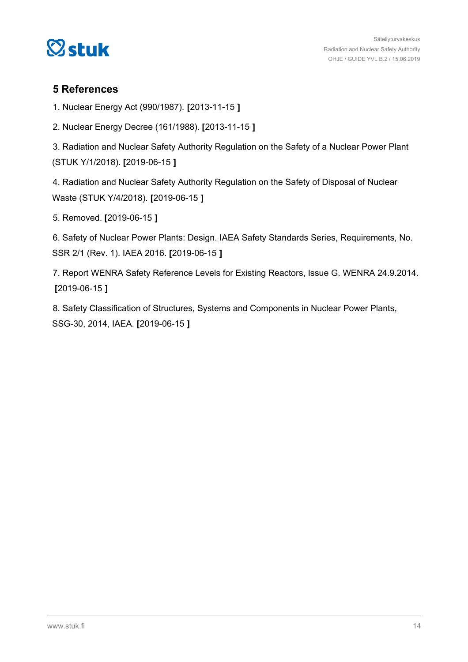<span id="page-13-0"></span>

### **5 References**

1. Nuclear Energy Act (990/1987). **[**2013-11-15 **]**

2. Nuclear Energy Decree (161/1988). **[**2013-11-15 **]**

3. Radiation and Nuclear Safety Authority Regulation on the Safety of a Nuclear Power Plant (STUK Y/1/2018). **[**2019-06-15 **]**

4. Radiation and Nuclear Safety Authority Regulation on the Safety of Disposal of Nuclear Waste (STUK Y/4/2018). **[**2019-06-15 **]**

5. Removed. **[**2019-06-15 **]**

6. Safety of Nuclear Power Plants: Design. IAEA Safety Standards Series, Requirements, No. SSR 2/1 (Rev. 1). IAEA 2016. **[**2019-06-15 **]**

7. Report WENRA Safety Reference Levels for Existing Reactors, Issue G. WENRA 24.9.2014. **[**2019-06-15 **]**

8. Safety Classification of Structures, Systems and Components in Nuclear Power Plants, SSG-30, 2014, IAEA. **[**2019-06-15 **]**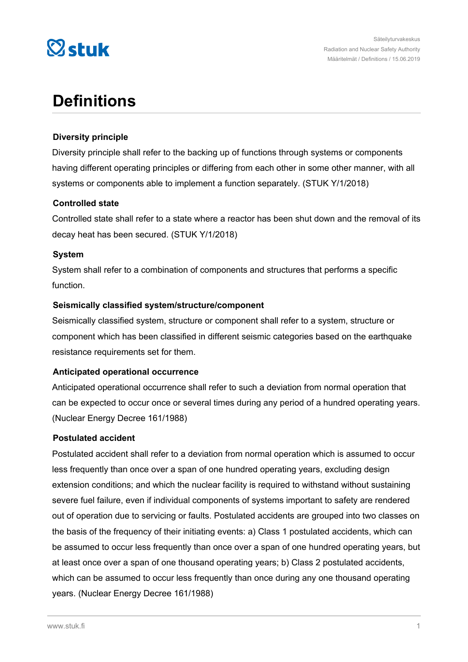

## **Definitions**

### **Diversity principle**

Diversity principle shall refer to the backing up of functions through systems or components having different operating principles or differing from each other in some other manner, with all systems or components able to implement a function separately. (STUK Y/1/2018)

### **Controlled state**

Controlled state shall refer to a state where a reactor has been shut down and the removal of its decay heat has been secured. (STUK Y/1/2018)

### **System**

System shall refer to a combination of components and structures that performs a specific function.

### **Seismically classified system/structure/component**

Seismically classified system, structure or component shall refer to a system, structure or component which has been classified in different seismic categories based on the earthquake resistance requirements set for them.

### **Anticipated operational occurrence**

Anticipated operational occurrence shall refer to such a deviation from normal operation that can be expected to occur once or several times during any period of a hundred operating years. (Nuclear Energy Decree 161/1988)

### **Postulated accident**

Postulated accident shall refer to a deviation from normal operation which is assumed to occur less frequently than once over a span of one hundred operating years, excluding design extension conditions; and which the nuclear facility is required to withstand without sustaining severe fuel failure, even if individual components of systems important to safety are rendered out of operation due to servicing or faults. Postulated accidents are grouped into two classes on the basis of the frequency of their initiating events: a) Class 1 postulated accidents, which can be assumed to occur less frequently than once over a span of one hundred operating years, but at least once over a span of one thousand operating years; b) Class 2 postulated accidents, which can be assumed to occur less frequently than once during any one thousand operating years. (Nuclear Energy Decree 161/1988)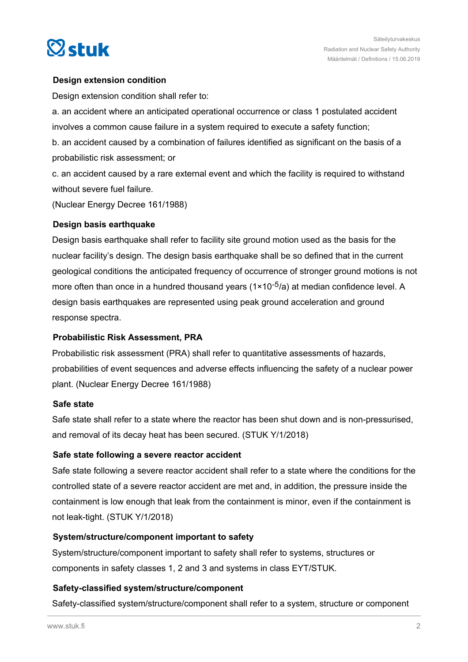

### **Design extension condition**

Design extension condition shall refer to:

a. an accident where an anticipated operational occurrence or class 1 postulated accident involves a common cause failure in a system required to execute a safety function;

b. an accident caused by a combination of failures identified as significant on the basis of a probabilistic risk assessment; or

c. an accident caused by a rare external event and which the facility is required to withstand without severe fuel failure.

(Nuclear Energy Decree 161/1988)

### **Design basis earthquake**

Design basis earthquake shall refer to facility site ground motion used as the basis for the nuclear facility's design. The design basis earthquake shall be so defined that in the current geological conditions the anticipated frequency of occurrence of stronger ground motions is not more often than once in a hundred thousand years  $(1 \times 10^{-5}/a)$  at median confidence level. A design basis earthquakes are represented using peak ground acceleration and ground response spectra.

### **Probabilistic Risk Assessment, PRA**

Probabilistic risk assessment (PRA) shall refer to quantitative assessments of hazards, probabilities of event sequences and adverse effects influencing the safety of a nuclear power plant. (Nuclear Energy Decree 161/1988)

### **Safe state**

Safe state shall refer to a state where the reactor has been shut down and is non-pressurised, and removal of its decay heat has been secured. (STUK Y/1/2018)

### **Safe state following a severe reactor accident**

Safe state following a severe reactor accident shall refer to a state where the conditions for the controlled state of a severe reactor accident are met and, in addition, the pressure inside the containment is low enough that leak from the containment is minor, even if the containment is not leak-tight. (STUK Y/1/2018)

### **System/structure/component important to safety**

System/structure/component important to safety shall refer to systems, structures or components in safety classes 1, 2 and 3 and systems in class EYT/STUK.

### **Safety-classified system/structure/component**

Safety-classified system/structure/component shall refer to a system, structure or component